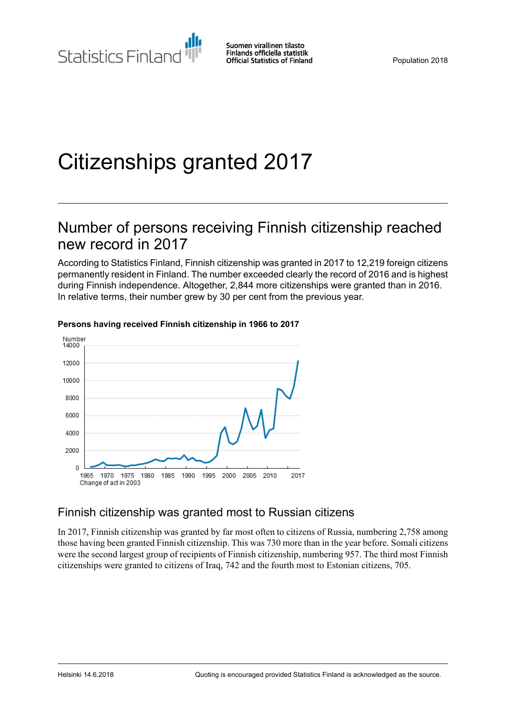# Citizenships granted 2017

# Number of persons receiving Finnish citizenship reached new record in 2017

According to Statistics Finland, Finnish citizenship was granted in 2017 to 12,219 foreign citizens permanently resident in Finland. The number exceeded clearly the record of 2016 and is highest during Finnish independence. Altogether, 2,844 more citizenships were granted than in 2016. In relative terms, their number grew by 30 per cent from the previous year.



#### **Persons having received Finnish citizenship in 1966 to 2017**

### Finnish citizenship was granted most to Russian citizens

In 2017, Finnish citizenship was granted by far most often to citizens of Russia, numbering 2,758 among those having been granted Finnish citizenship. This was 730 more than in the year before. Somali citizens were the second largest group of recipients of Finnish citizenship, numbering 957. The third most Finnish citizenships were granted to citizens of Iraq, 742 and the fourth most to Estonian citizens, 705.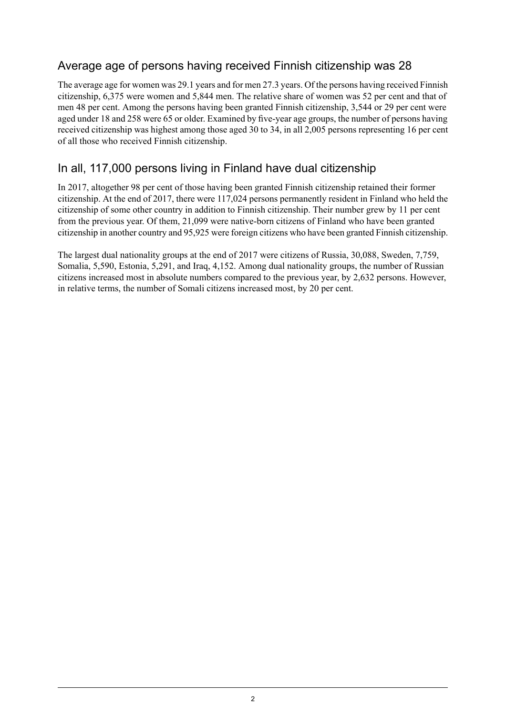### Average age of persons having received Finnish citizenship was 28

The average age for women was 29.1 years and for men 27.3 years. Of the persons having received Finnish citizenship, 6,375 were women and 5,844 men. The relative share of women was 52 per cent and that of men 48 per cent. Among the persons having been granted Finnish citizenship, 3,544 or 29 per cent were aged under 18 and 258 were 65 or older. Examined by five-year age groups, the number of persons having received citizenship was highest among those aged 30 to 34, in all 2,005 persons representing 16 per cent of all those who received Finnish citizenship.

### In all, 117,000 persons living in Finland have dual citizenship

In 2017, altogether 98 per cent of those having been granted Finnish citizenship retained their former citizenship. At the end of 2017, there were 117,024 persons permanently resident in Finland who held the citizenship of some other country in addition to Finnish citizenship. Their number grew by 11 per cent from the previous year. Of them, 21,099 were native-born citizens of Finland who have been granted citizenship in another country and 95,925 were foreign citizens who have been granted Finnish citizenship.

The largest dual nationality groups at the end of 2017 were citizens of Russia, 30,088, Sweden, 7,759, Somalia, 5,590, Estonia, 5,291, and Iraq, 4,152. Among dual nationality groups, the number of Russian citizens increased most in absolute numbers compared to the previous year, by 2,632 persons. However, in relative terms, the number of Somali citizens increased most, by 20 per cent.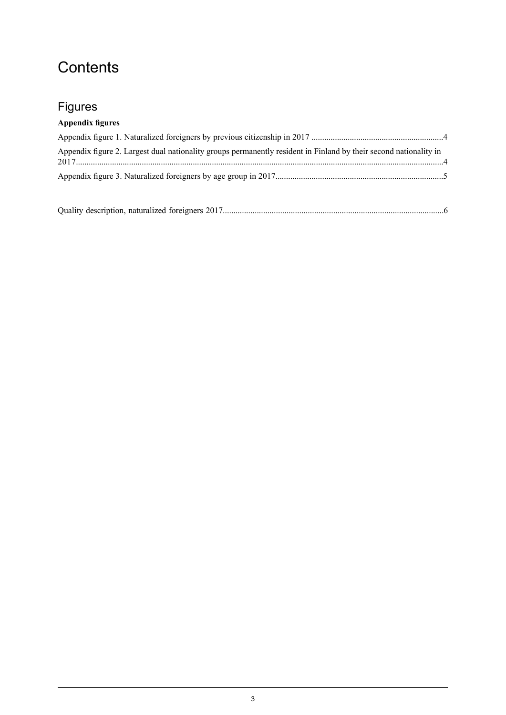# **Contents**

# Figures

### **Appendix figures**

| Appendix figure 2. Largest dual nationality groups permanently resident in Finland by their second nationality in |  |
|-------------------------------------------------------------------------------------------------------------------|--|
|                                                                                                                   |  |

Quality description, naturalized foreigners [2017........................................................................................................6](#page-5-0)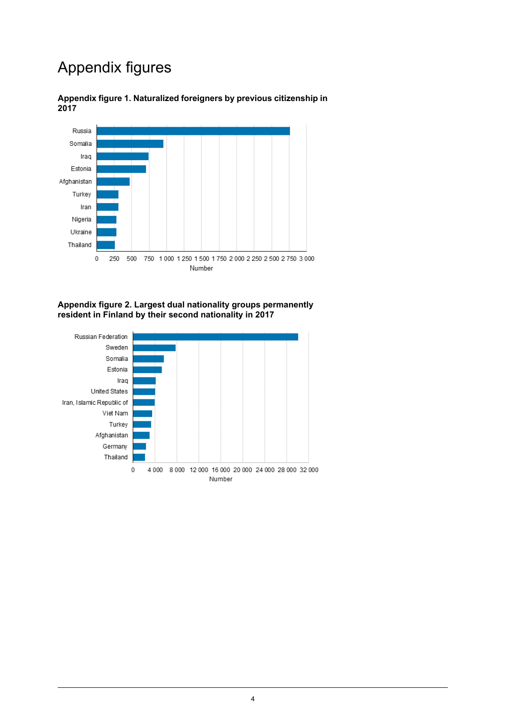# Appendix figures



<span id="page-3-0"></span>**Appendix figure 1. Naturalized foreigners by previous citizenship in 2017**

#### <span id="page-3-1"></span>**Appendix figure 2. Largest dual nationality groups permanently resident in Finland by their second nationality in 2017**

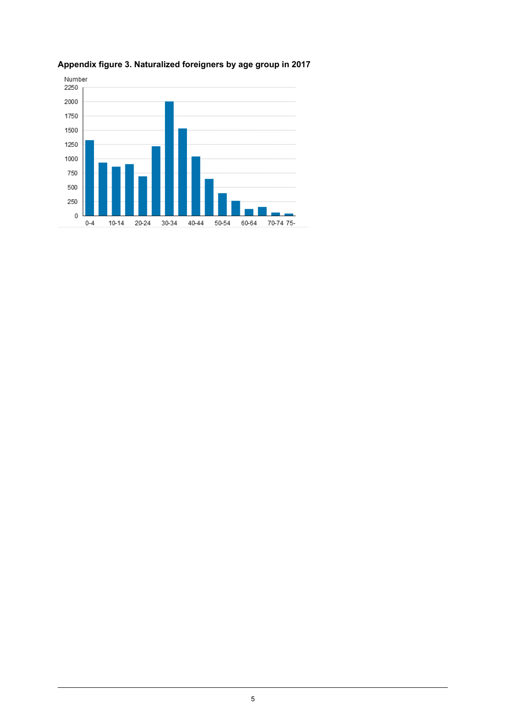

### <span id="page-4-0"></span>**Appendix figure 3. Naturalized foreigners by age group in 2017**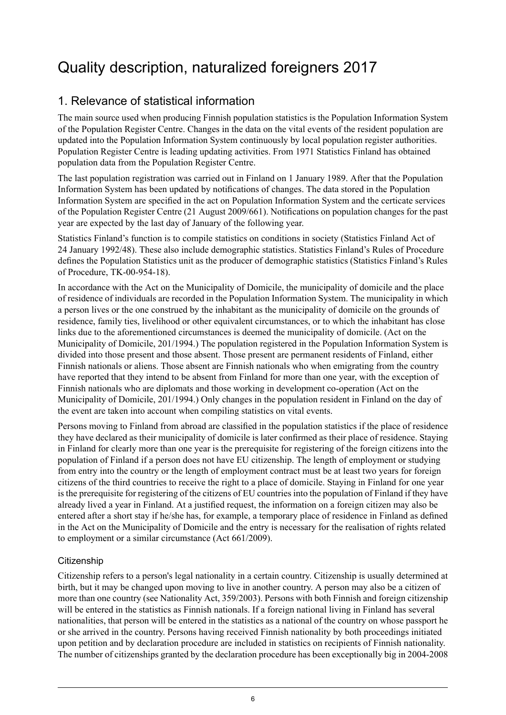# <span id="page-5-0"></span>Quality description, naturalized foreigners 2017

### 1. Relevance of statistical information

The main source used when producing Finnish population statistics is the Population Information System of the Population Register Centre. Changes in the data on the vital events of the resident population are updated into the Population Information System continuously by local population register authorities. Population Register Centre is leading updating activities. From 1971 Statistics Finland has obtained population data from the Population Register Centre.

The last population registration was carried out in Finland on 1 January 1989. After that the Population Information System has been updated by notifications of changes. The data stored in the Population Information System are specified in the act on Population Information System and the certicate services of the Population Register Centre (21 August 2009/661). Notifications on population changes for the past year are expected by the last day of January of the following year.

Statistics Finland's function is to compile statistics on conditions in society (Statistics Finland Act of 24 January 1992/48). These also include demographic statistics. Statistics Finland's Rules of Procedure defines the Population Statistics unit as the producer of demographic statistics (Statistics Finland's Rules of Procedure, TK-00-954-18).

In accordance with the Act on the Municipality of Domicile, the municipality of domicile and the place of residence of individuals are recorded in the Population Information System. The municipality in which a person lives or the one construed by the inhabitant as the municipality of domicile on the grounds of residence, family ties, livelihood or other equivalent circumstances, or to which the inhabitant has close links due to the aforementioned circumstances is deemed the municipality of domicile. (Act on the Municipality of Domicile, 201/1994.) The population registered in the Population Information System is divided into those present and those absent. Those present are permanent residents of Finland, either Finnish nationals or aliens. Those absent are Finnish nationals who when emigrating from the country have reported that they intend to be absent from Finland for more than one year, with the exception of Finnish nationals who are diplomats and those working in development co-operation (Act on the Municipality of Domicile, 201/1994.) Only changes in the population resident in Finland on the day of the event are taken into account when compiling statistics on vital events.

Persons moving to Finland from abroad are classified in the population statistics if the place of residence they have declared as their municipality of domicile is later confirmed as their place of residence. Staying in Finland for clearly more than one year is the prerequisite for registering of the foreign citizens into the population of Finland if a person does not have EU citizenship. The length of employment or studying from entry into the country or the length of employment contract must be at least two years for foreign citizens of the third countries to receive the right to a place of domicile. Staying in Finland for one year is the prerequisite for registering of the citizens of EU countries into the population of Finland if they have already lived a year in Finland. At a justified request, the information on a foreign citizen may also be entered after a short stay if he/she has, for example, a temporary place of residence in Finland as defined in the Act on the Municipality of Domicile and the entry is necessary for the realisation of rights related to employment or a similar circumstance (Act 661/2009).

#### **Citizenship**

Citizenship refers to a person's legal nationality in a certain country. Citizenship is usually determined at birth, but it may be changed upon moving to live in another country. A person may also be a citizen of more than one country (see Nationality Act, 359/2003). Persons with both Finnish and foreign citizenship will be entered in the statistics as Finnish nationals. If a foreign national living in Finland has several nationalities, that person will be entered in the statistics as a national of the country on whose passport he or she arrived in the country. Persons having received Finnish nationality by both proceedings initiated upon petition and by declaration procedure are included in statistics on recipients of Finnish nationality. The number of citizenships granted by the declaration procedure has been exceptionally big in 2004-2008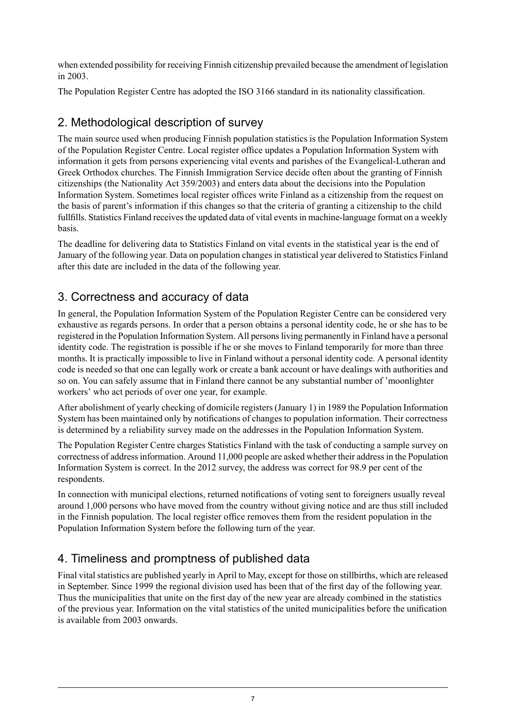when extended possibility for receiving Finnish citizenship prevailed because the amendment of legislation in 2003.

The Population Register Centre has adopted the ISO 3166 standard in its nationality classification.

### 2. Methodological description of survey

The main source used when producing Finnish population statistics is the Population Information System of the Population Register Centre. Local register office updates a Population Information System with information it gets from persons experiencing vital events and parishes of the Evangelical-Lutheran and Greek Orthodox churches. The Finnish Immigration Service decide often about the granting of Finnish citizenships (the Nationality Act 359/2003) and enters data about the decisions into the Population Information System. Sometimes local register offices write Finland as a citizenship from the request on the basis of parent's information if this changes so that the criteria of granting a citizenship to the child fullfills. Statistics Finland receives the updated data of vital events in machine-language format on a weekly basis.

The deadline for delivering data to Statistics Finland on vital events in the statistical year is the end of January of the following year. Data on population changes in statistical year delivered to Statistics Finland after this date are included in the data of the following year.

### 3. Correctness and accuracy of data

In general, the Population Information System of the Population Register Centre can be considered very exhaustive as regards persons. In order that a person obtains a personal identity code, he or she has to be registered in the Population Information System. All personsliving permanently in Finland have a personal identity code. The registration is possible if he or she moves to Finland temporarily for more than three months. It is practically impossible to live in Finland without a personal identity code. A personal identity code is needed so that one can legally work or create a bank account or have dealings with authorities and so on. You can safely assume that in Finland there cannot be any substantial number of 'moonlighter workers' who act periods of over one year, for example.

After abolishment of yearly checking of domicile registers (January 1) in 1989 the Population Information System has been maintained only by notifications of changes to population information. Their correctness is determined by a reliability survey made on the addresses in the Population Information System.

The Population Register Centre charges Statistics Finland with the task of conducting a sample survey on correctness of addressinformation. Around 11,000 people are asked whether their addressin the Population Information System is correct. In the 2012 survey, the address was correct for 98.9 per cent of the respondents.

In connection with municipal elections, returned notifications of voting sent to foreigners usually reveal around 1,000 persons who have moved from the country without giving notice and are thus still included in the Finnish population. The local register office removes them from the resident population in the Population Information System before the following turn of the year.

### 4. Timeliness and promptness of published data

Final vital statistics are published yearly in April to May, except for those on stillbirths, which are released in September. Since 1999 the regional division used has been that of the first day of the following year. Thus the municipalities that unite on the first day of the new year are already combined in the statistics of the previous year. Information on the vital statistics of the united municipalities before the unification is available from 2003 onwards.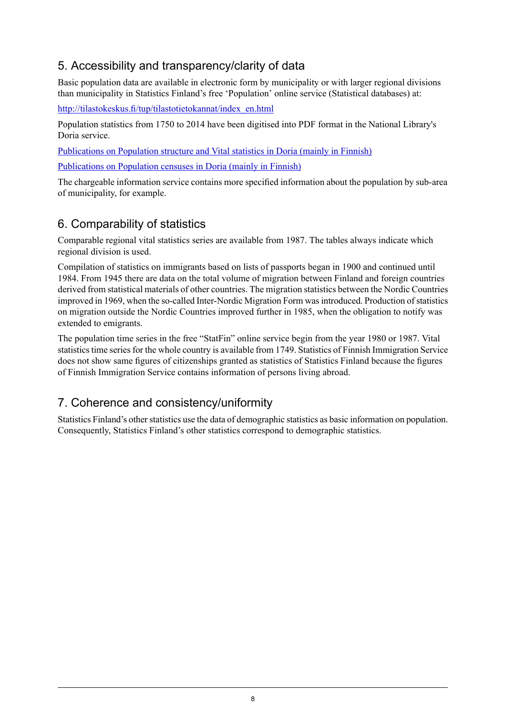### 5. Accessibility and transparency/clarity of data

Basic population data are available in electronic form by municipality or with larger regional divisions than municipality in Statistics Finland's free 'Population' online service (Statistical databases) at:

[http://tilastokeskus.fi/tup/tilastotietokannat/index\\_en.html](http://tilastokeskus.fi/tup/tilastotietokannat/index_en.html)

Population statistics from 1750 to 2014 have been digitised into PDF format in the National Library's Doria service.

[Publications](http://www.doria.fi/handle/10024/67161) on Population structure and Vital statistics in Doria (mainly in Finnish)

[Publications](http://www.doria.fi/handle/10024/67160) on Population censuses in Doria (mainly in Finnish)

The chargeable information service contains more specified information about the population by sub-area of municipality, for example.

### 6. Comparability of statistics

Comparable regional vital statistics series are available from 1987. The tables always indicate which regional division is used.

Compilation of statistics on immigrants based on lists of passports began in 1900 and continued until 1984. From 1945 there are data on the total volume of migration between Finland and foreign countries derived from statistical materials of other countries. The migration statistics between the Nordic Countries improved in 1969, when the so-called Inter-Nordic Migration Form was introduced. Production of statistics on migration outside the Nordic Countries improved further in 1985, when the obligation to notify was extended to emigrants.

The population time series in the free "StatFin" online service begin from the year 1980 or 1987. Vital statistics time series for the whole country is available from 1749. Statistics of Finnish Immigration Service does not show same figures of citizenships granted as statistics of Statistics Finland because the figures of Finnish Immigration Service contains information of persons living abroad.

## 7. Coherence and consistency/uniformity

Statistics Finland's other statistics use the data of demographic statistics as basic information on population. Consequently, Statistics Finland's other statistics correspond to demographic statistics.